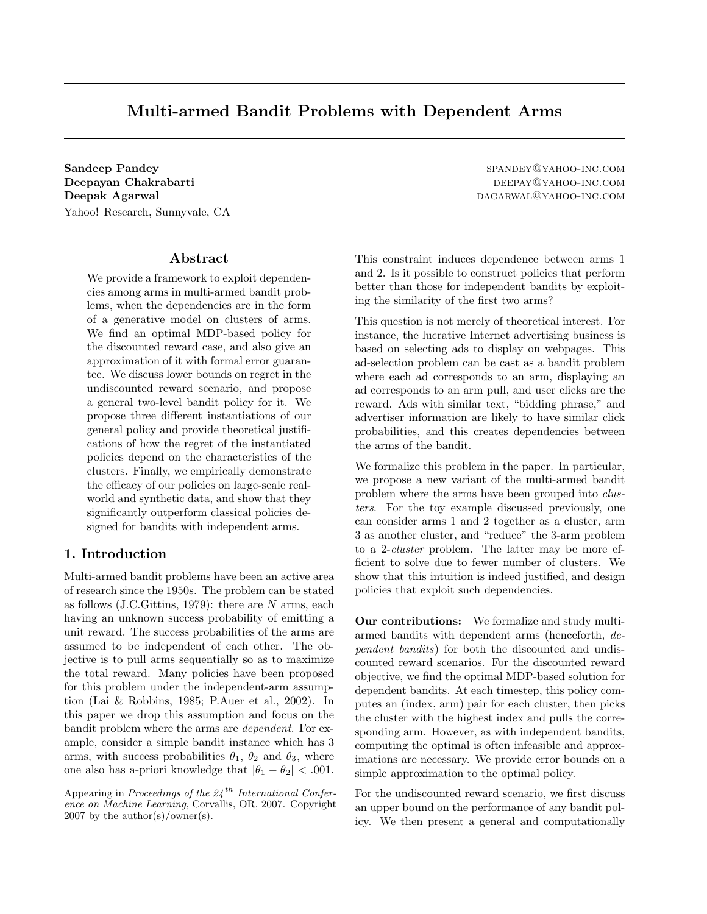# Multi-armed Bandit Problems with Dependent Arms

Sandeep Pandey spander and the spanner of the spanner of the spanner of the spanner of the spanner of the spanner of the spanner of the spanner of the spanner of the spanner of the spanner of the spanner of the spanner of Deepayan Chakrabarti deepayahoo-inc.com Deepak Agarwal dagarwal dagarwal dagarwal dagara dagara dagara dagara dagara dagara dagara dagara dagara dagara dagara dagara dagara dagara dagara dagara dagara dagara dagara dagara dagara dagara dagara dagara dagara dagar Yahoo! Research, Sunnyvale, CA

#### Abstract

We provide a framework to exploit dependencies among arms in multi-armed bandit problems, when the dependencies are in the form of a generative model on clusters of arms. We find an optimal MDP-based policy for the discounted reward case, and also give an approximation of it with formal error guarantee. We discuss lower bounds on regret in the undiscounted reward scenario, and propose a general two-level bandit policy for it. We propose three different instantiations of our general policy and provide theoretical justifications of how the regret of the instantiated policies depend on the characteristics of the clusters. Finally, we empirically demonstrate the efficacy of our policies on large-scale realworld and synthetic data, and show that they significantly outperform classical policies designed for bandits with independent arms.

## 1. Introduction

Multi-armed bandit problems have been an active area of research since the 1950s. The problem can be stated as follows  $(J.C.Gittins, 1979)$ : there are N arms, each having an unknown success probability of emitting a unit reward. The success probabilities of the arms are assumed to be independent of each other. The objective is to pull arms sequentially so as to maximize the total reward. Many policies have been proposed for this problem under the independent-arm assumption (Lai & Robbins, 1985; P.Auer et al., 2002). In this paper we drop this assumption and focus on the bandit problem where the arms are dependent. For example, consider a simple bandit instance which has 3 arms, with success probabilities  $\theta_1$ ,  $\theta_2$  and  $\theta_3$ , where one also has a-priori knowledge that  $|\theta_1 - \theta_2| < .001$ .

This constraint induces dependence between arms 1 and 2. Is it possible to construct policies that perform better than those for independent bandits by exploiting the similarity of the first two arms?

This question is not merely of theoretical interest. For instance, the lucrative Internet advertising business is based on selecting ads to display on webpages. This ad-selection problem can be cast as a bandit problem where each ad corresponds to an arm, displaying an ad corresponds to an arm pull, and user clicks are the reward. Ads with similar text, "bidding phrase," and advertiser information are likely to have similar click probabilities, and this creates dependencies between the arms of the bandit.

We formalize this problem in the paper. In particular, we propose a new variant of the multi-armed bandit problem where the arms have been grouped into clusters. For the toy example discussed previously, one can consider arms 1 and 2 together as a cluster, arm 3 as another cluster, and "reduce" the 3-arm problem to a 2-cluster problem. The latter may be more efficient to solve due to fewer number of clusters. We show that this intuition is indeed justified, and design policies that exploit such dependencies.

Our contributions: We formalize and study multiarmed bandits with dependent arms (henceforth, dependent bandits) for both the discounted and undiscounted reward scenarios. For the discounted reward objective, we find the optimal MDP-based solution for dependent bandits. At each timestep, this policy computes an (index, arm) pair for each cluster, then picks the cluster with the highest index and pulls the corresponding arm. However, as with independent bandits, computing the optimal is often infeasible and approximations are necessary. We provide error bounds on a simple approximation to the optimal policy.

For the undiscounted reward scenario, we first discuss an upper bound on the performance of any bandit policy. We then present a general and computationally

Appearing in Proceedings of the  $24$ <sup>th</sup> International Conference on Machine Learning, Corvallis, OR, 2007. Copyright  $2007$  by the author(s)/owner(s).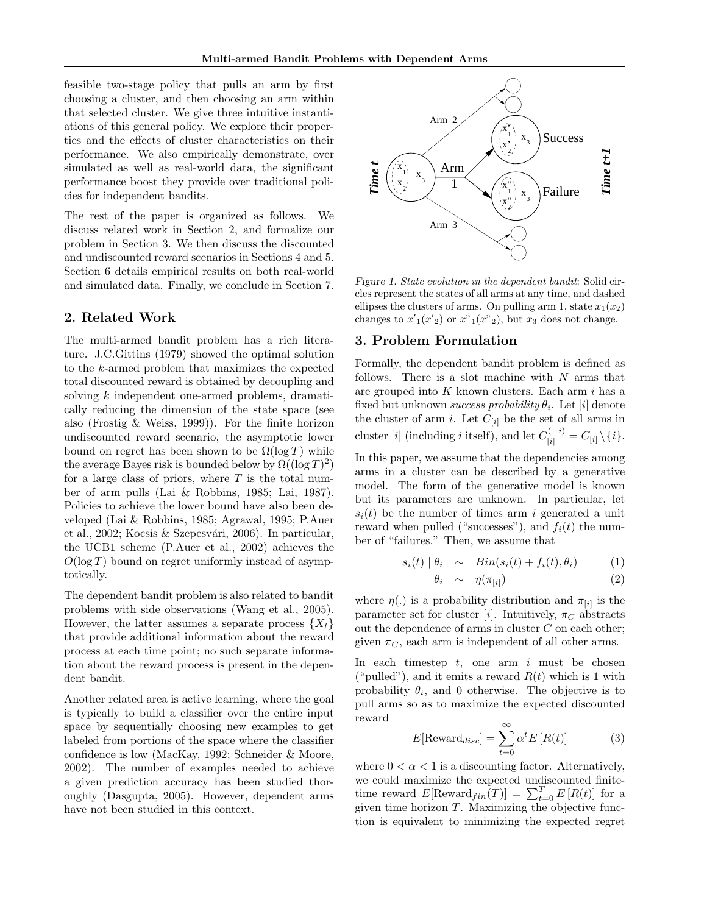feasible two-stage policy that pulls an arm by first choosing a cluster, and then choosing an arm within that selected cluster. We give three intuitive instantiations of this general policy. We explore their properties and the effects of cluster characteristics on their performance. We also empirically demonstrate, over simulated as well as real-world data, the significant performance boost they provide over traditional policies for independent bandits.

The rest of the paper is organized as follows. We discuss related work in Section 2, and formalize our problem in Section 3. We then discuss the discounted and undiscounted reward scenarios in Sections 4 and 5. Section 6 details empirical results on both real-world and simulated data. Finally, we conclude in Section 7.

# 2. Related Work

The multi-armed bandit problem has a rich literature. J.C.Gittins (1979) showed the optimal solution to the k-armed problem that maximizes the expected total discounted reward is obtained by decoupling and solving k independent one-armed problems, dramatically reducing the dimension of the state space (see also (Frostig & Weiss, 1999)). For the finite horizon undiscounted reward scenario, the asymptotic lower bound on regret has been shown to be  $\Omega(\log T)$  while the average Bayes risk is bounded below by  $\Omega((\log T)^2)$ for a large class of priors, where  $T$  is the total number of arm pulls (Lai & Robbins, 1985; Lai, 1987). Policies to achieve the lower bound have also been developed (Lai & Robbins, 1985; Agrawal, 1995; P.Auer et al., 2002; Kocsis & Szepesvári, 2006). In particular, the UCB1 scheme (P.Auer et al., 2002) achieves the  $O(\log T)$  bound on regret uniformly instead of asymptotically.

The dependent bandit problem is also related to bandit problems with side observations (Wang et al., 2005). However, the latter assumes a separate process  $\{X_t\}$ that provide additional information about the reward process at each time point; no such separate information about the reward process is present in the dependent bandit.

Another related area is active learning, where the goal is typically to build a classifier over the entire input space by sequentially choosing new examples to get labeled from portions of the space where the classifier confidence is low (MacKay, 1992; Schneider & Moore, 2002). The number of examples needed to achieve a given prediction accuracy has been studied thoroughly (Dasgupta, 2005). However, dependent arms have not been studied in this context.



Figure 1. State evolution in the dependent bandit: Solid circles represent the states of all arms at any time, and dashed ellipses the clusters of arms. On pulling arm 1, state  $x_1(x_2)$ changes to  $x_1'(x_2')$  or  $x_{1}(x_{2})$ , but  $x_3$  does not change.

# 3. Problem Formulation

Formally, the dependent bandit problem is defined as follows. There is a slot machine with  $N$  arms that are grouped into  $K$  known clusters. Each arm  $i$  has a fixed but unknown success probability  $\theta_i$ . Let  $[i]$  denote the cluster of arm *i*. Let  $C_{[i]}$  be the set of all arms in cluster [*i*] (including *i* itself), and let  $C_{[i]}^{(-i)} = C_{[i]} \setminus \{i\}.$ 

In this paper, we assume that the dependencies among arms in a cluster can be described by a generative model. The form of the generative model is known but its parameters are unknown. In particular, let  $s_i(t)$  be the number of times arm i generated a unit reward when pulled ("successes"), and  $f_i(t)$  the number of "failures." Then, we assume that

$$
s_i(t) | \theta_i \sim Bin(s_i(t) + f_i(t), \theta_i) \tag{1}
$$

$$
\theta_i \sim \eta(\pi_{[i]}) \tag{2}
$$

where  $\eta(.)$  is a probability distribution and  $\pi_{[i]}$  is the parameter set for cluster [i]. Intuitively,  $\pi_C$  abstracts out the dependence of arms in cluster  $C$  on each other; given  $\pi_C$ , each arm is independent of all other arms.

In each timestep  $t$ , one arm  $i$  must be chosen ("pulled"), and it emits a reward  $R(t)$  which is 1 with probability  $\theta_i$ , and 0 otherwise. The objective is to pull arms so as to maximize the expected discounted reward

$$
E[\text{Reward}_{disc}] = \sum_{t=0}^{\infty} \alpha^t E[R(t)] \tag{3}
$$

where  $0 < \alpha < 1$  is a discounting factor. Alternatively, we could maximize the expected undiscounted finitetime reward  $E[\text{Reward}_{fin}(T)] = \sum_{t=0}^{T} E[R(t)]$  for a given time horizon  $T$ . Maximizing the objective function is equivalent to minimizing the expected regret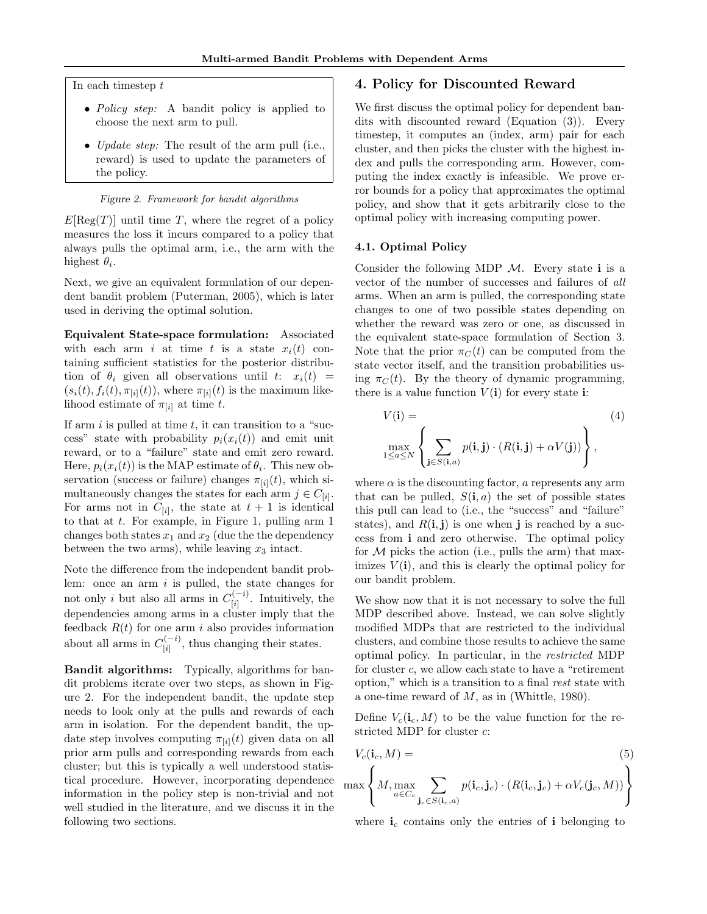In each timestep  $t$ 

- Policy step: A bandit policy is applied to choose the next arm to pull.
- Update step: The result of the arm pull (i.e., reward) is used to update the parameters of the policy.

#### Figure 2. Framework for bandit algorithms

 $E[\text{Reg}(T)]$  until time T, where the regret of a policy measures the loss it incurs compared to a policy that always pulls the optimal arm, i.e., the arm with the highest  $\theta_i$ .

Next, we give an equivalent formulation of our dependent bandit problem (Puterman, 2005), which is later used in deriving the optimal solution.

Equivalent State-space formulation: Associated with each arm i at time t is a state  $x_i(t)$  containing sufficient statistics for the posterior distribution of  $\theta_i$  given all observations until  $t: x_i(t) =$  $(s_i(t), f_i(t), \pi_{[i]}(t))$ , where  $\pi_{[i]}(t)$  is the maximum likelihood estimate of  $\pi_{[i]}$  at time t.

If arm  $i$  is pulled at time  $t$ , it can transition to a "success" state with probability  $p_i(x_i(t))$  and emit unit reward, or to a "failure" state and emit zero reward. Here,  $p_i(x_i(t))$  is the MAP estimate of  $\theta_i$ . This new observation (success or failure) changes  $\pi_{[i]}(t)$ , which simultaneously changes the states for each arm  $j \in C_{[i]}$ . For arms not in  $C_{[i]}$ , the state at  $t+1$  is identical to that at t. For example, in Figure 1, pulling arm 1 changes both states  $x_1$  and  $x_2$  (due the the dependency between the two arms), while leaving  $x_3$  intact.

Note the difference from the independent bandit problem: once an arm  $i$  is pulled, the state changes for not only *i* but also all arms in  $C_{[i]}^{(-i)}$  $\prod_{[i]}^{(i)}$ . Intuitively, the dependencies among arms in a cluster imply that the feedback  $R(t)$  for one arm i also provides information about all arms in  $C_{[i]}^{(-i)}$  $\binom{n-1}{i}$ , thus changing their states.

Bandit algorithms: Typically, algorithms for bandit problems iterate over two steps, as shown in Figure 2. For the independent bandit, the update step needs to look only at the pulls and rewards of each arm in isolation. For the dependent bandit, the update step involves computing  $\pi_{[i]}(t)$  given data on all prior arm pulls and corresponding rewards from each cluster; but this is typically a well understood statistical procedure. However, incorporating dependence information in the policy step is non-trivial and not well studied in the literature, and we discuss it in the following two sections.

# 4. Policy for Discounted Reward

We first discuss the optimal policy for dependent bandits with discounted reward (Equation (3)). Every timestep, it computes an (index, arm) pair for each cluster, and then picks the cluster with the highest index and pulls the corresponding arm. However, computing the index exactly is infeasible. We prove error bounds for a policy that approximates the optimal policy, and show that it gets arbitrarily close to the optimal policy with increasing computing power.

#### 4.1. Optimal Policy

Consider the following MDP  $\mathcal{M}$ . Every state i is a vector of the number of successes and failures of all arms. When an arm is pulled, the corresponding state changes to one of two possible states depending on whether the reward was zero or one, as discussed in the equivalent state-space formulation of Section 3. Note that the prior  $\pi_C(t)$  can be computed from the state vector itself, and the transition probabilities using  $\pi_C(t)$ . By the theory of dynamic programming, there is a value function  $V(i)$  for every state i:

$$
V(\mathbf{i}) = \max_{1 \le a \le N} \left\{ \sum_{\mathbf{j} \in S(\mathbf{i}, a)} p(\mathbf{i}, \mathbf{j}) \cdot (R(\mathbf{i}, \mathbf{j}) + \alpha V(\mathbf{j})) \right\},\tag{4}
$$

where  $\alpha$  is the discounting factor,  $\alpha$  represents any arm that can be pulled,  $S(i, a)$  the set of possible states this pull can lead to (i.e., the "success" and "failure" states), and  $R(i, j)$  is one when j is reached by a success from i and zero otherwise. The optimal policy for  $M$  picks the action (i.e., pulls the arm) that maximizes  $V(i)$ , and this is clearly the optimal policy for our bandit problem.

We show now that it is not necessary to solve the full MDP described above. Instead, we can solve slightly modified MDPs that are restricted to the individual clusters, and combine those results to achieve the same optimal policy. In particular, in the restricted MDP for cluster c, we allow each state to have a "retirement option," which is a transition to a final rest state with a one-time reward of  $M$ , as in (Whittle, 1980).

Define  $V_c(i_c, M)$  to be the value function for the restricted MDP for cluster c:

$$
V_c(\mathbf{i}_c, M) =
$$
\n
$$
\max \left\{ M, \max_{a \in C_c} \sum_{\mathbf{j}_c \in S(\mathbf{i}_c, a)} p(\mathbf{i}_c, \mathbf{j}_c) \cdot (R(\mathbf{i}_c, \mathbf{j}_c) + \alpha V_c(\mathbf{j}_c, M)) \right\}
$$
\n(5)

where  $\mathbf{i}_c$  contains only the entries of i belonging to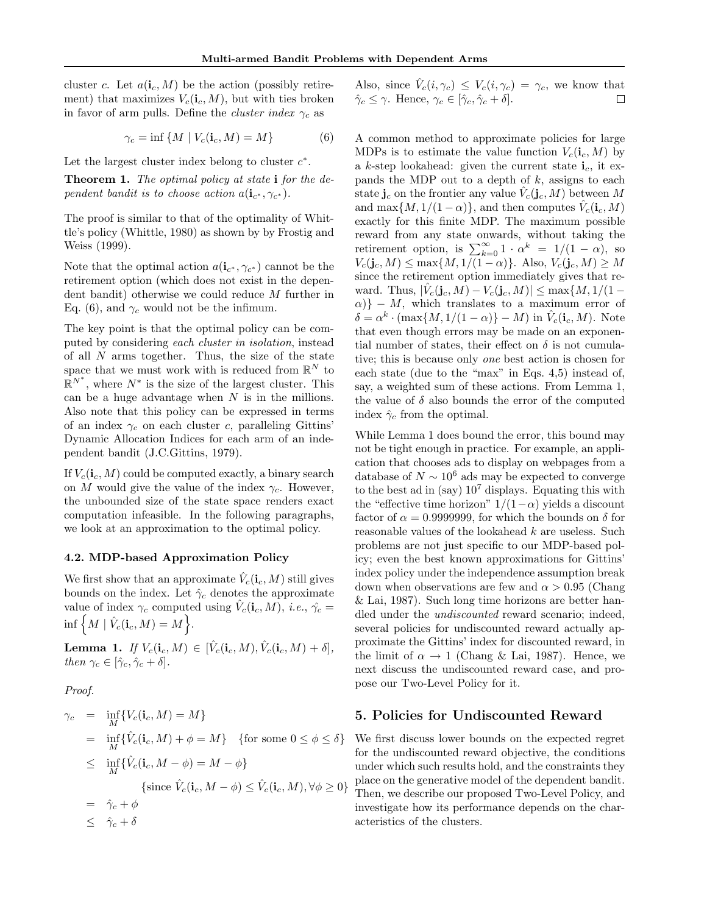cluster c. Let  $a(i_c, M)$  be the action (possibly retirement) that maximizes  $V_c(i_c, M)$ , but with ties broken in favor of arm pulls. Define the *cluster index*  $\gamma_c$  as

$$
\gamma_c = \inf \{ M \mid V_c(\mathbf{i}_c, M) = M \}
$$
 (6)

Let the largest cluster index belong to cluster  $c^*$ .

Theorem 1. The optimal policy at state i for the dependent bandit is to choose action  $a(\mathbf{i}_{c^*}, \gamma_{c^*})$ .

The proof is similar to that of the optimality of Whittle's policy (Whittle, 1980) as shown by by Frostig and Weiss (1999).

Note that the optimal action  $a(i_{c^*}, \gamma_{c^*})$  cannot be the retirement option (which does not exist in the dependent bandit) otherwise we could reduce M further in Eq. (6), and  $\gamma_c$  would not be the infimum.

The key point is that the optimal policy can be computed by considering each cluster in isolation, instead of all  $N$  arms together. Thus, the size of the state space that we must work with is reduced from  $\mathbb{R}^N$  to  $\mathbb{R}^{N^*}$ , where  $N^*$  is the size of the largest cluster. This can be a huge advantage when  $N$  is in the millions. Also note that this policy can be expressed in terms of an index  $\gamma_c$  on each cluster c, paralleling Gittins' Dynamic Allocation Indices for each arm of an independent bandit (J.C.Gittins, 1979).

If  $V_c(i_c, M)$  could be computed exactly, a binary search on M would give the value of the index  $\gamma_c$ . However, the unbounded size of the state space renders exact computation infeasible. In the following paragraphs, we look at an approximation to the optimal policy.

#### 4.2. MDP-based Approximation Policy

We first show that an approximate  $\hat{V}_c(\mathbf{i}_c, M)$  still gives bounds on the index. Let  $\hat{\gamma}_c$  denotes the approximate value of index  $\gamma_c$  computed using  $\hat{V}_c(\mathbf{i}_c, M)$ , *i.e.*,  $\hat{\gamma_c}$  =  $\inf\left\{M \mid \hat{V}_c(\mathbf{i}_c,M) = M\right\}.$ 

 $\textbf{Lemma 1.} \ \textit{If} \ V_c(\mathbf{i}_c,M) \in \ [\hat{V}_c(\mathbf{i}_c,M), \hat{V}_c(\mathbf{i}_c,M)+\delta],$ then  $\gamma_c \in [\hat{\gamma}_c, \hat{\gamma}_c + \delta].$ 

Proof.

$$
\gamma_c = \inf_M \{ V_c(\mathbf{i}_c, M) = M \}
$$
  
\n
$$
= \inf_M \{ \hat{V}_c(\mathbf{i}_c, M) + \phi = M \} \quad \text{for some } 0 \le \phi \le \delta \}
$$
  
\n
$$
\le \inf_M \{ \hat{V}_c(\mathbf{i}_c, M - \phi) = M - \phi \}
$$
  
\n
$$
\{ \text{since } \hat{V}_c(\mathbf{i}_c, M - \phi) \le \hat{V}_c(\mathbf{i}_c, M), \forall \phi \ge 0 \}
$$
  
\n
$$
= \hat{\gamma}_c + \phi
$$
  
\n
$$
\le \hat{\gamma}_c + \delta
$$

Also, since  $\hat{V}_c(i, \gamma_c) \leq V_c(i, \gamma_c) = \gamma_c$ , we know that  $\hat{\gamma}_c \leq \gamma$ . Hence,  $\gamma_c \in [\hat{\gamma}_c, \hat{\gamma}_c + \delta]$ . □

A common method to approximate policies for large MDPs is to estimate the value function  $V_c(i_c, M)$  by a k-step lookahead: given the current state  $\mathbf{i}_c$ , it expands the MDP out to a depth of  $k$ , assigns to each state  $\mathbf{j}_c$  on the frontier any value  $\hat{V}_c(\mathbf{j}_c, M)$  between M and max $\{M, 1/(1-\alpha)\}\$ , and then computes  $\hat{V}_c(\mathbf{i}_c, M)$ exactly for this finite MDP. The maximum possible reward from any state onwards, without taking the retirement option, is  $\sum_{k=0}^{\infty} 1 \cdot \alpha^k = 1/(1 - \alpha)$ , so  $V_c(\mathbf{j}_c, M) \le \max\{M, 1/(1-\alpha)\}\.$  Also,  $V_c(\mathbf{j}_c, M) \ge M$ since the retirement option immediately gives that reward. Thus,  $|\hat{V}_c(\mathbf{j}_c, M) - V_c(\mathbf{j}_c, M)| \le \max\{M, 1/(1-\epsilon)\}$  $\{\alpha\}$  – M, which translates to a maximum error of  $\delta = \alpha^k \cdot (\max\{M, 1/(1-\alpha)\} - M)$  in  $\hat{V}_c(i_c, M)$ . Note that even though errors may be made on an exponential number of states, their effect on  $\delta$  is not cumulative; this is because only one best action is chosen for each state (due to the "max" in Eqs. 4,5) instead of, say, a weighted sum of these actions. From Lemma 1, the value of  $\delta$  also bounds the error of the computed index  $\hat{\gamma}_c$  from the optimal.

While Lemma 1 does bound the error, this bound may not be tight enough in practice. For example, an application that chooses ads to display on webpages from a database of  $N \sim 10^6$  ads may be expected to converge to the best ad in (say)  $10^7$  displays. Equating this with the "effective time horizon"  $1/(1-\alpha)$  yields a discount factor of  $\alpha = 0.9999999$ , for which the bounds on  $\delta$  for reasonable values of the lookahead k are useless. Such problems are not just specific to our MDP-based policy; even the best known approximations for Gittins' index policy under the independence assumption break down when observations are few and  $\alpha > 0.95$  (Chang & Lai, 1987). Such long time horizons are better handled under the undiscounted reward scenario; indeed, several policies for undiscounted reward actually approximate the Gittins' index for discounted reward, in the limit of  $\alpha \to 1$  (Chang & Lai, 1987). Hence, we next discuss the undiscounted reward case, and propose our Two-Level Policy for it.

#### 5. Policies for Undiscounted Reward

We first discuss lower bounds on the expected regret for the undiscounted reward objective, the conditions under which such results hold, and the constraints they place on the generative model of the dependent bandit. Then, we describe our proposed Two-Level Policy, and investigate how its performance depends on the characteristics of the clusters.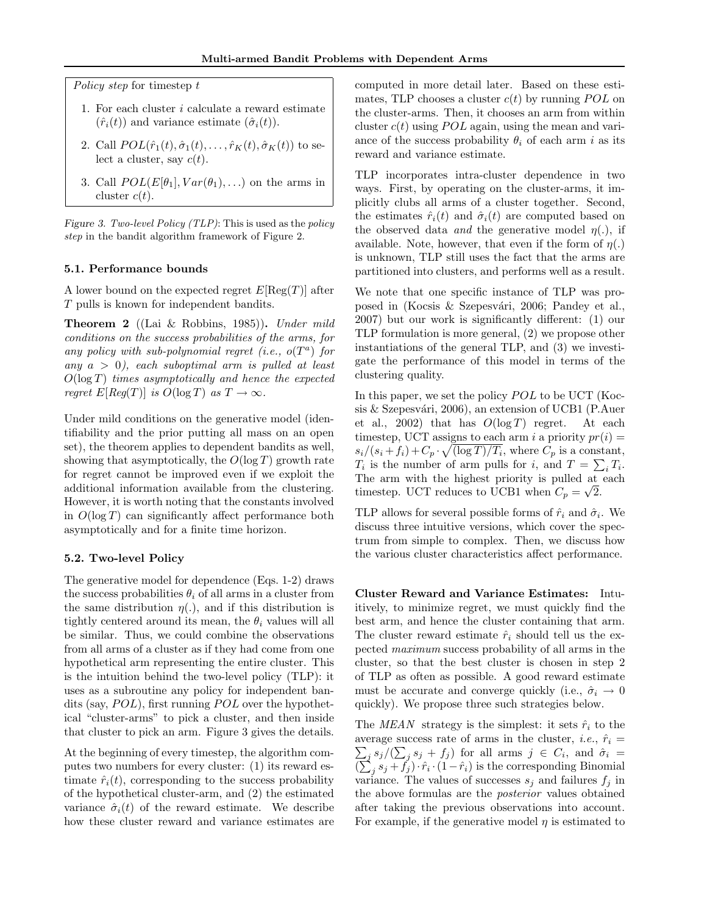Policy step for timestep t

- 1. For each cluster i calculate a reward estimate  $(\hat{r}_i(t))$  and variance estimate  $(\hat{\sigma}_i(t))$ .
- 2. Call  $POL(\hat{r}_1(t), \hat{\sigma}_1(t), \ldots, \hat{r}_K(t), \hat{\sigma}_K(t))$  to select a cluster, say  $c(t)$ .
- 3. Call  $POL(E[\theta_1], Var(\theta_1), ...)$  on the arms in cluster  $c(t)$ .

Figure 3. Two-level Policy (TLP): This is used as the policy step in the bandit algorithm framework of Figure 2.

#### 5.1. Performance bounds

A lower bound on the expected regret  $E[\text{Reg}(T)]$  after T pulls is known for independent bandits.

Theorem 2 ((Lai & Robbins, 1985)). Under mild conditions on the success probabilities of the arms, for any policy with sub-polynomial regret (i.e.,  $o(T^a)$  for any  $a > 0$ , each suboptimal arm is pulled at least  $O(\log T)$  times asymptotically and hence the expected reqret  $E[Reg(T)]$  is  $O(\log T)$  as  $T \to \infty$ .

Under mild conditions on the generative model (identifiability and the prior putting all mass on an open set), the theorem applies to dependent bandits as well, showing that asymptotically, the  $O(\log T)$  growth rate for regret cannot be improved even if we exploit the additional information available from the clustering. However, it is worth noting that the constants involved in  $O(\log T)$  can significantly affect performance both asymptotically and for a finite time horizon.

## 5.2. Two-level Policy

The generative model for dependence (Eqs. 1-2) draws the success probabilities  $\theta_i$  of all arms in a cluster from the same distribution  $\eta(.)$ , and if this distribution is tightly centered around its mean, the  $\theta_i$  values will all be similar. Thus, we could combine the observations from all arms of a cluster as if they had come from one hypothetical arm representing the entire cluster. This is the intuition behind the two-level policy (TLP): it uses as a subroutine any policy for independent bandits (say,  $POL$ ), first running  $POL$  over the hypothetical "cluster-arms" to pick a cluster, and then inside that cluster to pick an arm. Figure 3 gives the details.

At the beginning of every timestep, the algorithm computes two numbers for every cluster: (1) its reward estimate  $\hat{r}_i(t)$ , corresponding to the success probability of the hypothetical cluster-arm, and (2) the estimated variance  $\hat{\sigma}_i(t)$  of the reward estimate. We describe how these cluster reward and variance estimates are computed in more detail later. Based on these estimates, TLP chooses a cluster  $c(t)$  by running POL on the cluster-arms. Then, it chooses an arm from within cluster  $c(t)$  using POL again, using the mean and variance of the success probability  $\theta_i$  of each arm i as its reward and variance estimate.

TLP incorporates intra-cluster dependence in two ways. First, by operating on the cluster-arms, it implicitly clubs all arms of a cluster together. Second, the estimates  $\hat{r}_i(t)$  and  $\hat{\sigma}_i(t)$  are computed based on the observed data *and* the generative model  $\eta(.)$ , if available. Note, however, that even if the form of  $\eta(.)$ is unknown, TLP still uses the fact that the arms are partitioned into clusters, and performs well as a result.

We note that one specific instance of TLP was proposed in (Kocsis & Szepesvári, 2006; Pandey et al., 2007) but our work is significantly different: (1) our TLP formulation is more general, (2) we propose other instantiations of the general TLP, and (3) we investigate the performance of this model in terms of the clustering quality.

In this paper, we set the policy  $POL$  to be UCT (Kocsis  $&$  Szepesvári, 2006), an extension of UCB1 (P.Auer et al., 2002) that has  $O(\log T)$  regret. At each timestep, UCT assigns to each arm i a priority  $pr(i)$  $s_i/(s_i + f_i) + C_p \cdot \sqrt{(\log T)/T_i}$ , where  $C_p$  is a constant,  $T_i$  is the number of arm pulls for i, and  $T = \sum_i T_i$ . The arm with the highest priority is pulled at each  $\overline{A}$ timestep. UCT reduces to UCB1 when  $C_p = \sqrt{2}$ .

TLP allows for several possible forms of  $\hat{r}_i$  and  $\hat{\sigma}_i$ . We discuss three intuitive versions, which cover the spectrum from simple to complex. Then, we discuss how the various cluster characteristics affect performance.

Cluster Reward and Variance Estimates: Intuitively, to minimize regret, we must quickly find the best arm, and hence the cluster containing that arm. The cluster reward estimate  $\hat{r}_i$  should tell us the expected maximum success probability of all arms in the cluster, so that the best cluster is chosen in step 2 of TLP as often as possible. A good reward estimate must be accurate and converge quickly (i.e.,  $\hat{\sigma}_i \rightarrow 0$ quickly). We propose three such strategies below.

The MEAN strategy is the simplest: it sets  $\hat{r}_i$  to the  $\sum_j s_j/(\sum_j s_j + f_j)$  for all arms  $j \in C_i$ , and  $\hat{\sigma}_i =$ average success rate of arms in the cluster, *i.e.*,  $\hat{r}_i$  =  $(\sum_j s_j + \tilde{f}_j) \cdot \hat{r}_i \cdot (1 - \hat{r}_i)$  is the corresponding Binomial variance. The values of successes  $s_j$  and failures  $f_j$  in the above formulas are the posterior values obtained after taking the previous observations into account. For example, if the generative model  $\eta$  is estimated to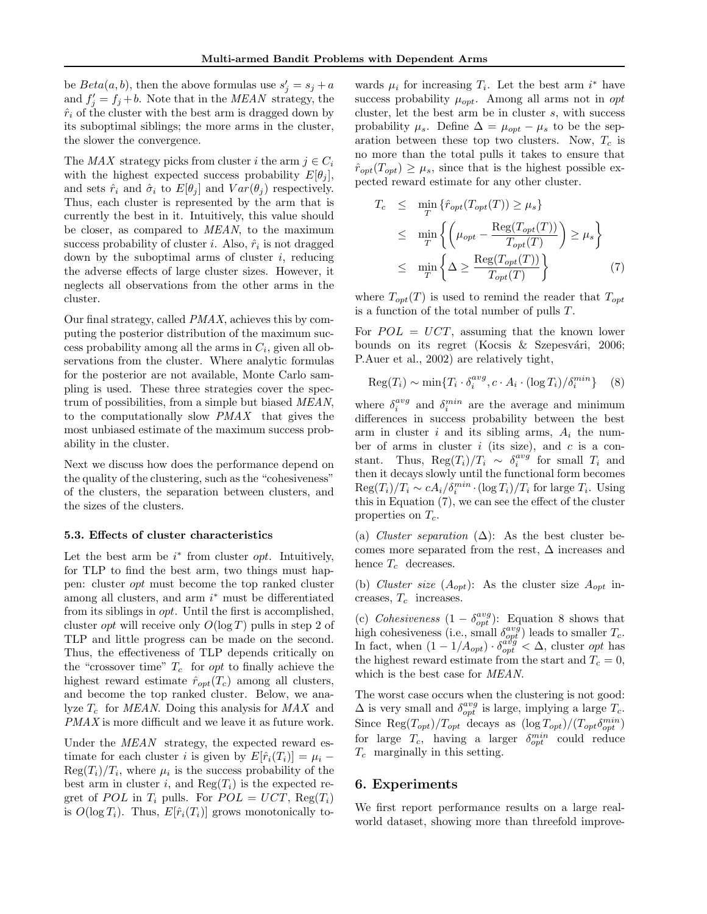be  $Beta(a, b)$ , then the above formulas use  $s'_j = s_j + a$ and  $f'_j = f_j + b$ . Note that in the *MEAN* strategy, the  $\hat{r}_i$  of the cluster with the best arm is dragged down by its suboptimal siblings; the more arms in the cluster, the slower the convergence.

The MAX strategy picks from cluster i the arm  $i \in C_i$ with the highest expected success probability  $E[\theta_i]$ , and sets  $\hat{r}_i$  and  $\hat{\sigma}_i$  to  $E[\theta_j]$  and  $Var(\theta_j)$  respectively. Thus, each cluster is represented by the arm that is currently the best in it. Intuitively, this value should be closer, as compared to MEAN, to the maximum success probability of cluster *i*. Also,  $\hat{r}_i$  is not dragged down by the suboptimal arms of cluster  $i$ , reducing the adverse effects of large cluster sizes. However, it neglects all observations from the other arms in the cluster.

Our final strategy, called PMAX, achieves this by computing the posterior distribution of the maximum success probability among all the arms in  $C_i$ , given all observations from the cluster. Where analytic formulas for the posterior are not available, Monte Carlo sampling is used. These three strategies cover the spectrum of possibilities, from a simple but biased MEAN, to the computationally slow PMAX that gives the most unbiased estimate of the maximum success probability in the cluster.

Next we discuss how does the performance depend on the quality of the clustering, such as the "cohesiveness" of the clusters, the separation between clusters, and the sizes of the clusters.

#### 5.3. Effects of cluster characteristics

Let the best arm be  $i^*$  from cluster *opt*. Intuitively, for TLP to find the best arm, two things must happen: cluster opt must become the top ranked cluster among all clusters, and arm  $i^*$  must be differentiated from its siblings in opt. Until the first is accomplished, cluster *opt* will receive only  $O(\log T)$  pulls in step 2 of TLP and little progress can be made on the second. Thus, the effectiveness of TLP depends critically on the "crossover time"  $T_c$  for *opt* to finally achieve the highest reward estimate  $\hat{r}_{opt}(T_c)$  among all clusters, and become the top ranked cluster. Below, we analyze  $T_c$  for *MEAN*. Doing this analysis for *MAX* and PMAX is more difficult and we leave it as future work.

Under the MEAN strategy, the expected reward estimate for each cluster i is given by  $E[\hat{r}_i(T_i)] = \mu_i$  –  $\text{Reg}(T_i)/T_i$ , where  $\mu_i$  is the success probability of the best arm in cluster i, and  $\text{Reg}(T_i)$  is the expected regret of POL in  $T_i$  pulls. For  $POL = UCT$ ,  $Reg(T_i)$ is  $O(\log T_i)$ . Thus,  $E[\hat{r}_i(T_i)]$  grows monotonically to-

wards  $\mu_i$  for increasing  $T_i$ . Let the best arm  $i^*$  have success probability  $\mu_{opt}$ . Among all arms not in opt cluster, let the best arm be in cluster s, with success probability  $\mu_s$ . Define  $\Delta = \mu_{opt} - \mu_s$  to be the separation between these top two clusters. Now,  $T_c$  is no more than the total pulls it takes to ensure that  $\hat{r}_{opt}(T_{opt}) \geq \mu_s$ , since that is the highest possible expected reward estimate for any other cluster.

$$
T_c \leq \min_T \{\hat{r}_{opt}(T_{opt}(T)) \geq \mu_s\}
$$
  
\n
$$
\leq \min_T \left\{ \left(\mu_{opt} - \frac{\text{Reg}(T_{opt}(T))}{T_{opt}(T)}\right) \geq \mu_s \right\}
$$
  
\n
$$
\leq \min_T \left\{ \Delta \geq \frac{\text{Reg}(T_{opt}(T))}{T_{opt}(T)} \right\} \tag{7}
$$

where  $T_{opt}(T)$  is used to remind the reader that  $T_{opt}$ is a function of the total number of pulls T.

For  $POL = UCT$ , assuming that the known lower bounds on its regret (Kocsis & Szepesvári, 2006; P.Auer et al., 2002) are relatively tight,

$$
\operatorname{Reg}(T_i) \sim \min\{T_i \cdot \delta_i^{avg}, c \cdot A_i \cdot (\log T_i) / \delta_i^{min}\} \quad (8)
$$

where  $\delta_i^{avg}$  and  $\delta_i^{min}$  are the average and minimum differences in success probability between the best arm in cluster i and its sibling arms,  $A_i$  the number of arms in cluster  $i$  (its size), and  $c$  is a constant. Thus,  $\text{Reg}(T_i)/T_i \sim \delta_i^{avg}$  for small  $T_i$  and then it decays slowly until the functional form becomes  $\text{Reg}(T_i)/T_i \sim c A_i/\delta_i^{min} \cdot (\log T_i)/T_i$  for large  $T_i$ . Using this in Equation (7), we can see the effect of the cluster properties on  $T_c$ .

(a) Cluster separation  $(\Delta)$ : As the best cluster becomes more separated from the rest,  $\Delta$  increases and hence  $T_c$  decreases.

(b) Cluster size  $(A_{opt})$ : As the cluster size  $A_{opt}$  increases,  $T_c$  increases.

(c) Cohesiveness  $(1 - \delta_{opt}^{avg})$ : Equation 8 shows that high cohesiveness (i.e., small  $\delta_{opt}^{avg}$ ) leads to smaller  $T_c$ . In fact, when  $(1 - 1/A_{opt}) \cdot \delta_{opt}^{avg} < \Delta$ , cluster opt has the highest reward estimate from the start and  $T_c = 0$ , which is the best case for MEAN.

The worst case occurs when the clustering is not good:  $\Delta$  is very small and  $\delta_{opt}^{avg}$  is large, implying a large  $T_c$ . Since  $\text{Reg}(T_{opt})/T_{opt}$  decays as  $(\log T_{opt})/(T_{opt} \delta_{opt}^{min})$ for large  $T_c$ , having a larger  $\delta_{opt}^{min}$  could reduce  $T_c$  marginally in this setting.

#### 6. Experiments

We first report performance results on a large realworld dataset, showing more than threefold improve-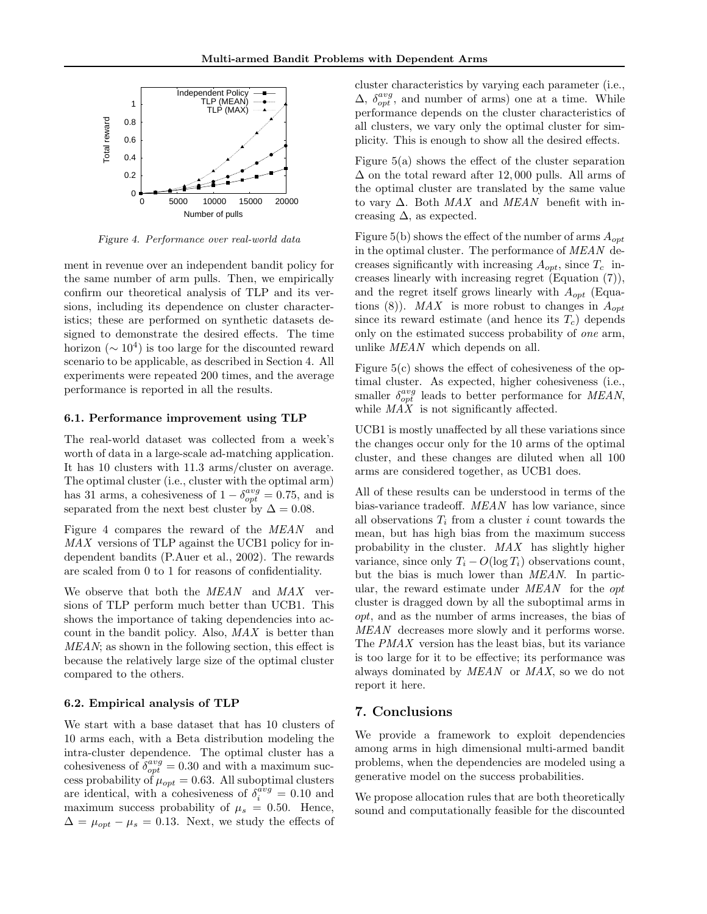

Figure 4. Performance over real-world data

ment in revenue over an independent bandit policy for the same number of arm pulls. Then, we empirically confirm our theoretical analysis of TLP and its versions, including its dependence on cluster characteristics; these are performed on synthetic datasets designed to demonstrate the desired effects. The time horizon ( $\sim 10^4$ ) is too large for the discounted reward scenario to be applicable, as described in Section 4. All experiments were repeated 200 times, and the average performance is reported in all the results.

#### 6.1. Performance improvement using TLP

The real-world dataset was collected from a week's worth of data in a large-scale ad-matching application. It has 10 clusters with 11.3 arms/cluster on average. The optimal cluster (i.e., cluster with the optimal arm) has 31 arms, a cohesiveness of  $1 - \delta_{opt}^{avg} = 0.75$ , and is separated from the next best cluster by  $\Delta = 0.08$ .

Figure 4 compares the reward of the MEAN and MAX versions of TLP against the UCB1 policy for independent bandits (P.Auer et al., 2002). The rewards are scaled from 0 to 1 for reasons of confidentiality.

We observe that both the MEAN and MAX versions of TLP perform much better than UCB1. This shows the importance of taking dependencies into account in the bandit policy. Also, MAX is better than MEAN; as shown in the following section, this effect is because the relatively large size of the optimal cluster compared to the others.

#### 6.2. Empirical analysis of TLP

We start with a base dataset that has 10 clusters of 10 arms each, with a Beta distribution modeling the intra-cluster dependence. The optimal cluster has a cohesiveness of  $\delta_{opt}^{avg} = 0.30$  and with a maximum success probability of  $\mu_{opt} = 0.63$ . All suboptimal clusters are identical, with a cohesiveness of  $\delta_i^{avg} = 0.10$  and maximum success probability of  $\mu_s = 0.50$ . Hence,  $\Delta = \mu_{opt} - \mu_s = 0.13$ . Next, we study the effects of

cluster characteristics by varying each parameter (i.e.,  $\Delta$ ,  $\delta_{opt}^{avg}$ , and number of arms) one at a time. While performance depends on the cluster characteristics of all clusters, we vary only the optimal cluster for simplicity. This is enough to show all the desired effects.

Figure 5(a) shows the effect of the cluster separation  $\Delta$  on the total reward after 12,000 pulls. All arms of the optimal cluster are translated by the same value to vary  $\Delta$ . Both  $MAX$  and  $MEAN$  benefit with increasing  $\Delta$ , as expected.

Figure 5(b) shows the effect of the number of arms  $A_{opt}$ in the optimal cluster. The performance of MEAN decreases significantly with increasing  $A_{opt}$ , since  $T_c$  increases linearly with increasing regret (Equation (7)), and the regret itself grows linearly with  $A_{opt}$  (Equations (8)). MAX is more robust to changes in  $A_{opt}$ since its reward estimate (and hence its  $T_c$ ) depends only on the estimated success probability of one arm, unlike *MEAN* which depends on all.

Figure 5(c) shows the effect of cohesiveness of the optimal cluster. As expected, higher cohesiveness (i.e., smaller  $\delta_{opt}^{avg}$  leads to better performance for MEAN, while  $MAX$  is not significantly affected.

UCB1 is mostly unaffected by all these variations since the changes occur only for the 10 arms of the optimal cluster, and these changes are diluted when all 100 arms are considered together, as UCB1 does.

All of these results can be understood in terms of the bias-variance tradeoff. MEAN has low variance, since all observations  $T_i$  from a cluster i count towards the mean, but has high bias from the maximum success probability in the cluster. MAX has slightly higher variance, since only  $T_i - O(\log T_i)$  observations count, but the bias is much lower than MEAN. In particular, the reward estimate under MEAN for the opt cluster is dragged down by all the suboptimal arms in opt, and as the number of arms increases, the bias of MEAN decreases more slowly and it performs worse. The PMAX version has the least bias, but its variance is too large for it to be effective; its performance was always dominated by MEAN or MAX, so we do not report it here.

## 7. Conclusions

We provide a framework to exploit dependencies among arms in high dimensional multi-armed bandit problems, when the dependencies are modeled using a generative model on the success probabilities.

We propose allocation rules that are both theoretically sound and computationally feasible for the discounted